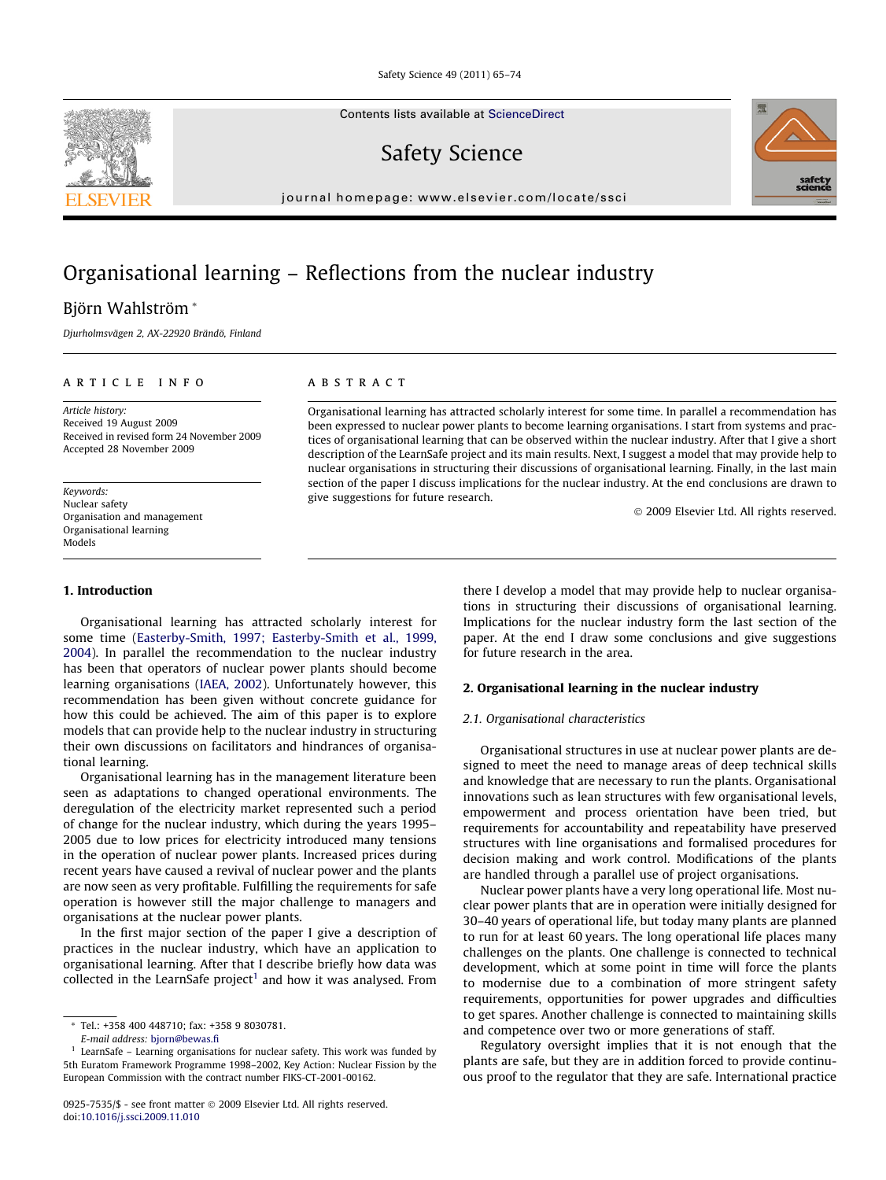Safety Science 49 (2011) 65–74

Contents lists available at [ScienceDirect](http://www.sciencedirect.com/science/journal/09257535)

Safety Science

journal homepage: [www.elsevier.com/locate/ssci](http://www.elsevier.com/locate/ssci)

# Organisational learning – Reflections from the nuclear industry

### Björn Wahlström \*

Djurholmsvägen 2, AX-22920 Brändö, Finland

#### article info

Article history: Received 19 August 2009 Received in revised form 24 November 2009 Accepted 28 November 2009

Keywords: Nuclear safety Organisation and management Organisational learning Models

#### 1. Introduction

Organisational learning has attracted scholarly interest for some time [\(Easterby-Smith, 1997; Easterby-Smith et al., 1999,](#page--1-0) [2004](#page--1-0)). In parallel the recommendation to the nuclear industry has been that operators of nuclear power plants should become learning organisations [\(IAEA, 2002](#page--1-0)). Unfortunately however, this recommendation has been given without concrete guidance for how this could be achieved. The aim of this paper is to explore models that can provide help to the nuclear industry in structuring their own discussions on facilitators and hindrances of organisational learning.

Organisational learning has in the management literature been seen as adaptations to changed operational environments. The deregulation of the electricity market represented such a period of change for the nuclear industry, which during the years 1995– 2005 due to low prices for electricity introduced many tensions in the operation of nuclear power plants. Increased prices during recent years have caused a revival of nuclear power and the plants are now seen as very profitable. Fulfilling the requirements for safe operation is however still the major challenge to managers and organisations at the nuclear power plants.

In the first major section of the paper I give a description of practices in the nuclear industry, which have an application to organisational learning. After that I describe briefly how data was collected in the LearnSafe project<sup>1</sup> and how it was analysed. From

### **ABSTRACT**

Organisational learning has attracted scholarly interest for some time. In parallel a recommendation has been expressed to nuclear power plants to become learning organisations. I start from systems and practices of organisational learning that can be observed within the nuclear industry. After that I give a short description of the LearnSafe project and its main results. Next, I suggest a model that may provide help to nuclear organisations in structuring their discussions of organisational learning. Finally, in the last main section of the paper I discuss implications for the nuclear industry. At the end conclusions are drawn to give suggestions for future research.

- 2009 Elsevier Ltd. All rights reserved.

there I develop a model that may provide help to nuclear organisations in structuring their discussions of organisational learning. Implications for the nuclear industry form the last section of the paper. At the end I draw some conclusions and give suggestions for future research in the area.

#### 2. Organisational learning in the nuclear industry

#### 2.1. Organisational characteristics

Organisational structures in use at nuclear power plants are designed to meet the need to manage areas of deep technical skills and knowledge that are necessary to run the plants. Organisational innovations such as lean structures with few organisational levels, empowerment and process orientation have been tried, but requirements for accountability and repeatability have preserved structures with line organisations and formalised procedures for decision making and work control. Modifications of the plants are handled through a parallel use of project organisations.

Nuclear power plants have a very long operational life. Most nuclear power plants that are in operation were initially designed for 30–40 years of operational life, but today many plants are planned to run for at least 60 years. The long operational life places many challenges on the plants. One challenge is connected to technical development, which at some point in time will force the plants to modernise due to a combination of more stringent safety requirements, opportunities for power upgrades and difficulties to get spares. Another challenge is connected to maintaining skills and competence over two or more generations of staff.

Regulatory oversight implies that it is not enough that the plants are safe, but they are in addition forced to provide continuous proof to the regulator that they are safe. International practice





<sup>\*</sup> Tel.: +358 400 448710; fax: +358 9 8030781.

E-mail address: [bjorn@bewas.fi](mailto:bjorn@bewas.fi)

 $1$  LearnSafe – Learning organisations for nuclear safety. This work was funded by 5th Euratom Framework Programme 1998–2002, Key Action: Nuclear Fission by the European Commission with the contract number FIKS-CT-2001-00162.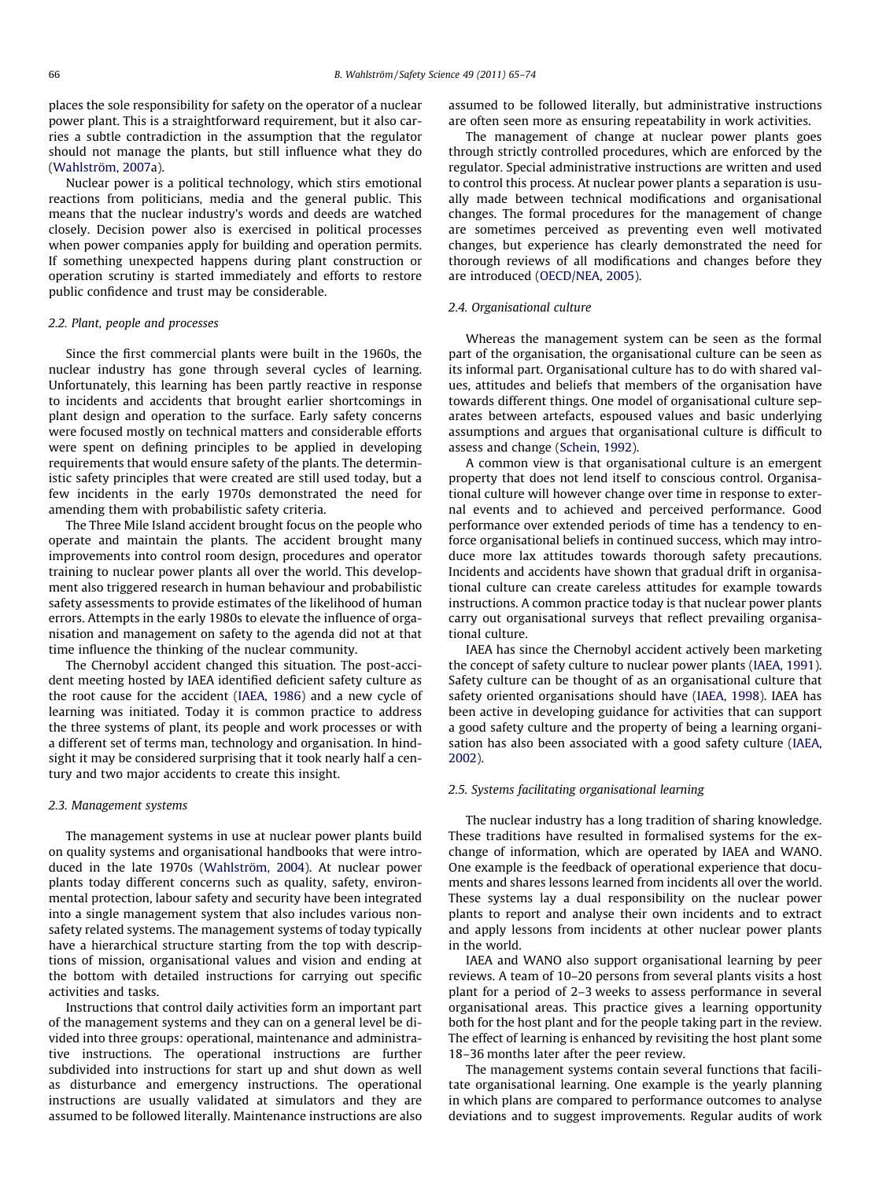places the sole responsibility for safety on the operator of a nuclear power plant. This is a straightforward requirement, but it also carries a subtle contradiction in the assumption that the regulator should not manage the plants, but still influence what they do ([Wahlström, 2007a](#page--1-0)).

Nuclear power is a political technology, which stirs emotional reactions from politicians, media and the general public. This means that the nuclear industry's words and deeds are watched closely. Decision power also is exercised in political processes when power companies apply for building and operation permits. If something unexpected happens during plant construction or operation scrutiny is started immediately and efforts to restore public confidence and trust may be considerable.

#### 2.2. Plant, people and processes

Since the first commercial plants were built in the 1960s, the nuclear industry has gone through several cycles of learning. Unfortunately, this learning has been partly reactive in response to incidents and accidents that brought earlier shortcomings in plant design and operation to the surface. Early safety concerns were focused mostly on technical matters and considerable efforts were spent on defining principles to be applied in developing requirements that would ensure safety of the plants. The deterministic safety principles that were created are still used today, but a few incidents in the early 1970s demonstrated the need for amending them with probabilistic safety criteria.

The Three Mile Island accident brought focus on the people who operate and maintain the plants. The accident brought many improvements into control room design, procedures and operator training to nuclear power plants all over the world. This development also triggered research in human behaviour and probabilistic safety assessments to provide estimates of the likelihood of human errors. Attempts in the early 1980s to elevate the influence of organisation and management on safety to the agenda did not at that time influence the thinking of the nuclear community.

The Chernobyl accident changed this situation. The post-accident meeting hosted by IAEA identified deficient safety culture as the root cause for the accident [\(IAEA, 1986](#page--1-0)) and a new cycle of learning was initiated. Today it is common practice to address the three systems of plant, its people and work processes or with a different set of terms man, technology and organisation. In hindsight it may be considered surprising that it took nearly half a century and two major accidents to create this insight.

#### 2.3. Management systems

The management systems in use at nuclear power plants build on quality systems and organisational handbooks that were introduced in the late 1970s [\(Wahlström, 2004\)](#page--1-0). At nuclear power plants today different concerns such as quality, safety, environmental protection, labour safety and security have been integrated into a single management system that also includes various nonsafety related systems. The management systems of today typically have a hierarchical structure starting from the top with descriptions of mission, organisational values and vision and ending at the bottom with detailed instructions for carrying out specific activities and tasks.

Instructions that control daily activities form an important part of the management systems and they can on a general level be divided into three groups: operational, maintenance and administrative instructions. The operational instructions are further subdivided into instructions for start up and shut down as well as disturbance and emergency instructions. The operational instructions are usually validated at simulators and they are assumed to be followed literally. Maintenance instructions are also assumed to be followed literally, but administrative instructions are often seen more as ensuring repeatability in work activities.

The management of change at nuclear power plants goes through strictly controlled procedures, which are enforced by the regulator. Special administrative instructions are written and used to control this process. At nuclear power plants a separation is usually made between technical modifications and organisational changes. The formal procedures for the management of change are sometimes perceived as preventing even well motivated changes, but experience has clearly demonstrated the need for thorough reviews of all modifications and changes before they are introduced [\(OECD/NEA, 2005\)](#page--1-0).

#### 2.4. Organisational culture

Whereas the management system can be seen as the formal part of the organisation, the organisational culture can be seen as its informal part. Organisational culture has to do with shared values, attitudes and beliefs that members of the organisation have towards different things. One model of organisational culture separates between artefacts, espoused values and basic underlying assumptions and argues that organisational culture is difficult to assess and change ([Schein, 1992\)](#page--1-0).

A common view is that organisational culture is an emergent property that does not lend itself to conscious control. Organisational culture will however change over time in response to external events and to achieved and perceived performance. Good performance over extended periods of time has a tendency to enforce organisational beliefs in continued success, which may introduce more lax attitudes towards thorough safety precautions. Incidents and accidents have shown that gradual drift in organisational culture can create careless attitudes for example towards instructions. A common practice today is that nuclear power plants carry out organisational surveys that reflect prevailing organisational culture.

IAEA has since the Chernobyl accident actively been marketing the concept of safety culture to nuclear power plants ([IAEA, 1991\)](#page--1-0). Safety culture can be thought of as an organisational culture that safety oriented organisations should have ([IAEA, 1998\)](#page--1-0). IAEA has been active in developing guidance for activities that can support a good safety culture and the property of being a learning organisation has also been associated with a good safety culture [\(IAEA,](#page--1-0) [2002\)](#page--1-0).

#### 2.5. Systems facilitating organisational learning

The nuclear industry has a long tradition of sharing knowledge. These traditions have resulted in formalised systems for the exchange of information, which are operated by IAEA and WANO. One example is the feedback of operational experience that documents and shares lessons learned from incidents all over the world. These systems lay a dual responsibility on the nuclear power plants to report and analyse their own incidents and to extract and apply lessons from incidents at other nuclear power plants in the world.

IAEA and WANO also support organisational learning by peer reviews. A team of 10–20 persons from several plants visits a host plant for a period of 2–3 weeks to assess performance in several organisational areas. This practice gives a learning opportunity both for the host plant and for the people taking part in the review. The effect of learning is enhanced by revisiting the host plant some 18–36 months later after the peer review.

The management systems contain several functions that facilitate organisational learning. One example is the yearly planning in which plans are compared to performance outcomes to analyse deviations and to suggest improvements. Regular audits of work